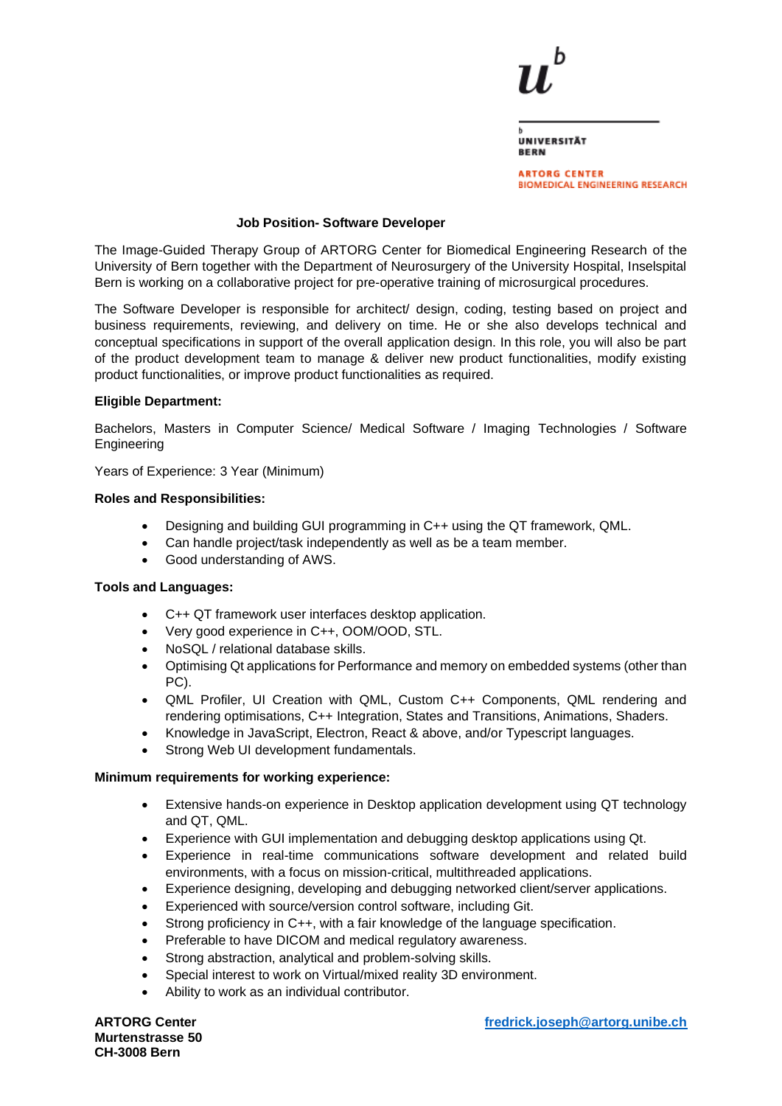×

| <b>UNIVERSITÄT</b> |  |
|--------------------|--|
| <b>BERN</b>        |  |

**ARTORG CENTER BIOMEDICAL ENGINEERING RESEARCH** 

## **Job Position- Software Developer**

The Image-Guided Therapy Group of ARTORG Center for Biomedical Engineering Research of the University of Bern together with the Department of Neurosurgery of the University Hospital, Inselspital Bern is working on a collaborative project for pre-operative training of microsurgical procedures.

The Software Developer is responsible for architect/ design, coding, testing based on project and business requirements, reviewing, and delivery on time. He or she also develops technical and conceptual specifications in support of the overall application design. In this role, you will also be part of the product development team to manage & deliver new product functionalities, modify existing product functionalities, or improve product functionalities as required.

## **Eligible Department:**

Bachelors, Masters in Computer Science/ Medical Software / Imaging Technologies / Software Engineering

Years of Experience: 3 Year (Minimum)

#### **Roles and Responsibilities:**

- Designing and building GUI programming in C++ using the QT framework, QML.
- Can handle project/task independently as well as be a team member.
- Good understanding of AWS.

#### **Tools and Languages:**

- C++ QT framework user interfaces desktop application.
- Very good experience in C++, OOM/OOD, STL.
- NoSQL / relational database skills.
- Optimising Qt applications for Performance and memory on embedded systems (other than PC).
- QML Profiler, UI Creation with QML, Custom C++ Components, QML rendering and rendering optimisations, C++ Integration, States and Transitions, Animations, Shaders.
- Knowledge in JavaScript, Electron, React & above, and/or Typescript languages.
- Strong Web UI development fundamentals.

#### **Minimum requirements for working experience:**

- Extensive hands-on experience in Desktop application development using QT technology and QT, QML.
- Experience with GUI implementation and debugging desktop applications using Qt.
- Experience in real-time communications software development and related build environments, with a focus on mission-critical, multithreaded applications.
- Experience designing, developing and debugging networked client/server applications.
- Experienced with source/version control software, including Git.
- Strong proficiency in C++, with a fair knowledge of the language specification.
- Preferable to have DICOM and medical regulatory awareness.
- Strong abstraction, analytical and problem-solving skills.
- Special interest to work on Virtual/mixed reality 3D environment.
- Ability to work as an individual contributor.